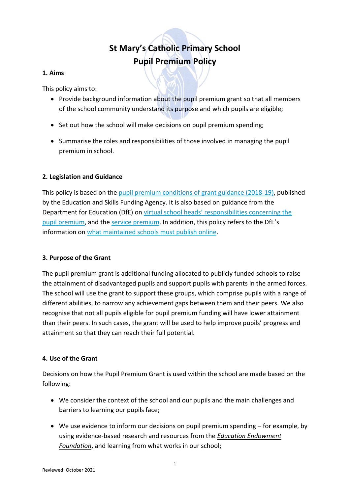# **St Mary's Catholic Primary School Pupil Premium Policy**

# **1. Aims**

This policy aims to:

- Provide background information about the pupil premium grant so that all members of the school community understand its purpose and which pupils are eligible;
- Set out how the school will make decisions on pupil premium spending;
- Summarise the roles and responsibilities of those involved in managing the pupil premium in school.

# **2. Legislation and Guidance**

This policy is based on the [pupil premium conditions of grant guidance \(2018-19\),](https://www.gov.uk/government/publications/pupil-premium-conditions-of-grant-2018-to-2019) published by the Education and Skills Funding Agency. It is also based on guidance from the Department for Education (DfE) on [virtual school heads' responsibilities concerning the](https://www.gov.uk/guidance/pupil-premium-virtual-school-heads-responsibilities)  [pupil premium,](https://www.gov.uk/guidance/pupil-premium-virtual-school-heads-responsibilities) and th[e service premium](https://www.gov.uk/guidance/service-premium-information-for-schools). In addition, this policy refers to the DfE's information on [what maintained schools must publish online.](https://www.gov.uk/guidance/what-maintained-schools-must-publish-online#pupil-premium)

# **3. Purpose of the Grant**

The pupil premium grant is additional funding allocated to publicly funded schools to raise the attainment of disadvantaged pupils and support pupils with parents in the armed forces. The school will use the grant to support these groups, which comprise pupils with a range of different abilities, to narrow any achievement gaps between them and their peers. We also recognise that not all pupils eligible for pupil premium funding will have lower attainment than their peers. In such cases, the grant will be used to help improve pupils' progress and attainment so that they can reach their full potential.

# **4. Use of the Grant**

Decisions on how the Pupil Premium Grant is used within the school are made based on the following:

- We consider the context of the school and our pupils and the main challenges and barriers to learning our pupils face;
- We use evidence to inform our decisions on pupil premium spending for example, by using evidence-based research and resources from the *[Education Endowment](https://educationendowmentfoundation.org.uk/)  [Foundation](https://educationendowmentfoundation.org.uk/)*, and learning from what works in our school;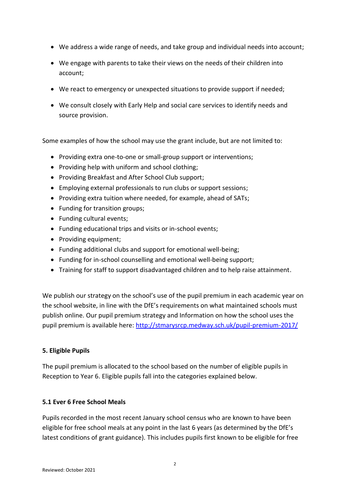- We address a wide range of needs, and take group and individual needs into account;
- We engage with parents to take their views on the needs of their children into account;
- We react to emergency or unexpected situations to provide support if needed;
- We consult closely with Early Help and social care services to identify needs and source provision.

Some examples of how the school may use the grant include, but are not limited to:

- Providing extra one-to-one or small-group support or interventions;
- Providing help with uniform and school clothing;
- Providing Breakfast and After School Club support;
- Employing external professionals to run clubs or support sessions;
- Providing extra tuition where needed, for example, ahead of SATs;
- Funding for transition groups;
- Funding cultural events;
- Funding educational trips and visits or in-school events;
- Providing equipment;
- Funding additional clubs and support for emotional well-being;
- Funding for in-school counselling and emotional well-being support;
- Training for staff to support disadvantaged children and to help raise attainment.

We publish our strategy on the school's use of the pupil premium in each academic year on the school website, in line with the DfE's requirements on what maintained schools must publish online. Our pupil premium strategy and Information on how the school uses the pupil premium is available here:<http://stmarysrcp.medway.sch.uk/pupil-premium-2017/>

### **5. Eligible Pupils**

The pupil premium is allocated to the school based on the number of eligible pupils in Reception to Year 6. Eligible pupils fall into the categories explained below.

### **5.1 Ever 6 Free School Meals**

Pupils recorded in the most recent January school census who are known to have been eligible for free school meals at any point in the last 6 years (as determined by the DfE's latest conditions of grant guidance). This includes pupils first known to be eligible for free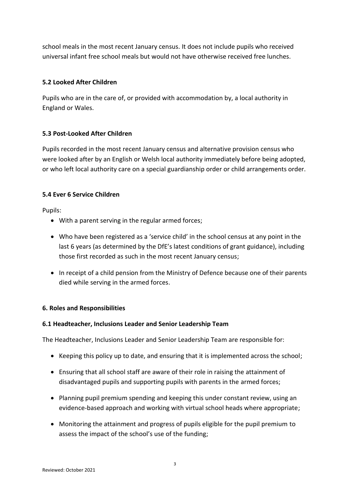school meals in the most recent January census. It does not include pupils who received universal infant free school meals but would not have otherwise received free lunches.

# **5.2 Looked After Children**

Pupils who are in the care of, or provided with accommodation by, a local authority in England or Wales.

# **5.3 Post-Looked After Children**

Pupils recorded in the most recent January census and alternative provision census who were looked after by an English or Welsh local authority immediately before being adopted, or who left local authority care on a special guardianship order or child arrangements order.

# **5.4 Ever 6 Service Children**

Pupils:

- With a parent serving in the regular armed forces;
- Who have been registered as a 'service child' in the school census at any point in the last 6 years (as determined by the DfE's latest conditions of grant guidance), including those first recorded as such in the most recent January census;
- In receipt of a child pension from the Ministry of Defence because one of their parents died while serving in the armed forces.

# **6. Roles and Responsibilities**

# **6.1 Headteacher, Inclusions Leader and Senior Leadership Team**

The Headteacher, Inclusions Leader and Senior Leadership Team are responsible for:

- Keeping this policy up to date, and ensuring that it is implemented across the school;
- Ensuring that all school staff are aware of their role in raising the attainment of disadvantaged pupils and supporting pupils with parents in the armed forces;
- Planning pupil premium spending and keeping this under constant review, using an evidence-based approach and working with virtual school heads where appropriate;
- Monitoring the attainment and progress of pupils eligible for the pupil premium to assess the impact of the school's use of the funding;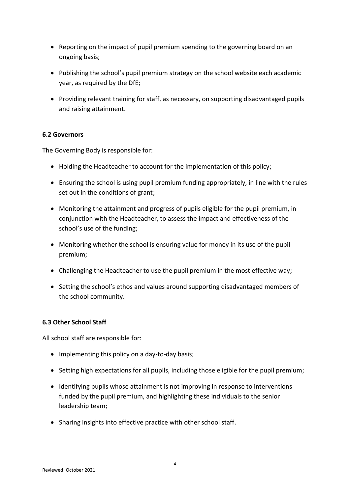- Reporting on the impact of pupil premium spending to the governing board on an ongoing basis;
- Publishing the school's pupil premium strategy on the school website each academic year, as required by the DfE;
- Providing relevant training for staff, as necessary, on supporting disadvantaged pupils and raising attainment.

## **6.2 Governors**

The Governing Body is responsible for:

- Holding the Headteacher to account for the implementation of this policy;
- Ensuring the school is using pupil premium funding appropriately, in line with the rules set out in the conditions of grant;
- Monitoring the attainment and progress of pupils eligible for the pupil premium, in conjunction with the Headteacher, to assess the impact and effectiveness of the school's use of the funding;
- Monitoring whether the school is ensuring value for money in its use of the pupil premium;
- Challenging the Headteacher to use the pupil premium in the most effective way;
- Setting the school's ethos and values around supporting disadvantaged members of the school community.

### **6.3 Other School Staff**

All school staff are responsible for:

- Implementing this policy on a day-to-day basis;
- Setting high expectations for all pupils, including those eligible for the pupil premium;
- Identifying pupils whose attainment is not improving in response to interventions funded by the pupil premium, and highlighting these individuals to the senior leadership team;
- Sharing insights into effective practice with other school staff.